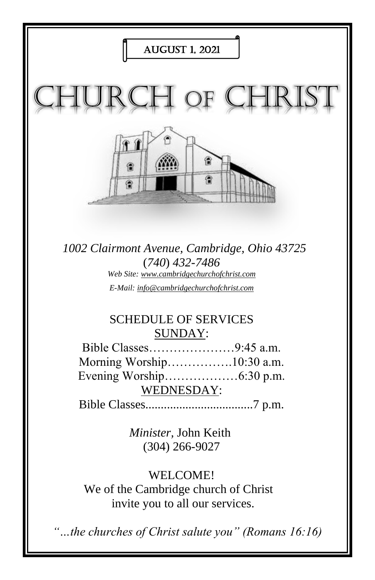

invite you to all our services.

*"…the churches of Christ salute you" (Romans 16:16)*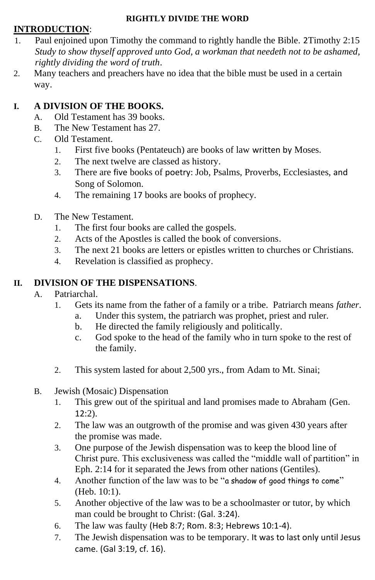#### **RIGHTLY DIVIDE THE WORD**

#### **INTRODUCTION**:

- 1. Paul enjoined upon Timothy the command to rightly handle the Bible. 2Timothy 2:15 *Study to show thyself approved unto God, a workman that needeth not to be ashamed, rightly dividing the word of truth*.
- 2. Many teachers and preachers have no idea that the bible must be used in a certain way.

### **I. A DIVISION OF THE BOOKS.**

- A. Old Testament has 39 books.
- B. The New Testament has 27.
- C. Old Testament.
	- 1. First five books (Pentateuch) are books of law written by Moses.
	- 2. The next twelve are classed as history.
	- 3. There are five books of poetry: Job, Psalms, Proverbs, Ecclesiastes, and Song of Solomon.
	- 4. The remaining 17 books are books of prophecy.
- D. The New Testament.
	- 1. The first four books are called the gospels.
	- 2. Acts of the Apostles is called the book of conversions.
	- 3. The next 21 books are letters or epistles written to churches or Christians.
	- 4. Revelation is classified as prophecy.

#### **II. DIVISION OF THE DISPENSATIONS**.

#### A. Patriarchal.

- 1. Gets its name from the father of a family or a tribe. Patriarch means *father*.
	- a. Under this system, the patriarch was prophet, priest and ruler.
	- b. He directed the family religiously and politically.
	- c. God spoke to the head of the family who in turn spoke to the rest of the family.
- 2. This system lasted for about 2,500 yrs., from Adam to Mt. Sinai;
- B. Jewish (Mosaic) Dispensation
	- 1. This grew out of the spiritual and land promises made to Abraham (Gen.  $12:2$ ).
	- 2. The law was an outgrowth of the promise and was given 430 years after the promise was made.
	- 3. One purpose of the Jewish dispensation was to keep the blood line of Christ pure. This exclusiveness was called the "middle wall of partition" in Eph. 2:14 for it separated the Jews from other nations (Gentiles).
	- 4. Another function of the law was to be "a shadow of good things to come" (Heb. 10:1).
	- 5. Another objective of the law was to be a schoolmaster or tutor, by which man could be brought to Christ: (Gal. 3:24).
	- 6. The law was faulty (Heb 8:7; Rom. 8:3; Hebrews 10:1-4).
	- 7. The Jewish dispensation was to be temporary. It was to last only until Jesus came. (Gal 3:19, cf. 16).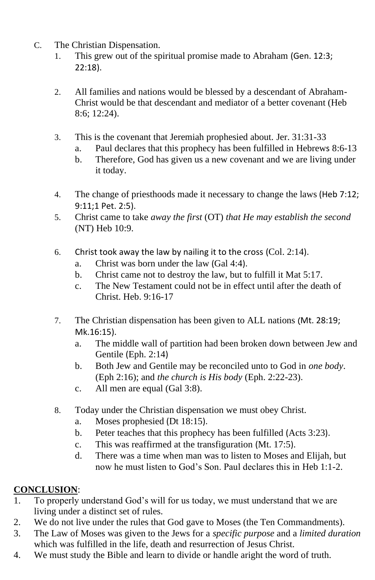- C. The Christian Dispensation.
	- 1. This grew out of the spiritual promise made to Abraham (Gen. 12:3; 22:18).
	- 2. All families and nations would be blessed by a descendant of Abraham-Christ would be that descendant and mediator of a better covenant (Heb 8:6; 12:24).
	- 3. This is the covenant that Jeremiah prophesied about. Jer. 31:31-33
		- a. Paul declares that this prophecy has been fulfilled in Hebrews 8:6-13
		- b. Therefore, God has given us a new covenant and we are living under it today.
	- 4. The change of priesthoods made it necessary to change the laws (Heb 7:12; 9:11;1 Pet. 2:5).
	- 5. Christ came to take *away the first* (OT) *that He may establish the second* (NT) Heb 10:9.
	- 6. Christ took away the law by nailing it to the cross (Col. 2:14).
		- a. Christ was born under the law (Gal 4:4).
		- b. Christ came not to destroy the law, but to fulfill it Mat 5:17.
		- c. The New Testament could not be in effect until after the death of Christ. Heb. 9:16-17
	- 7. The Christian dispensation has been given to ALL nations (Mt. 28:19; Mk.16:15).
		- a. The middle wall of partition had been broken down between Jew and Gentile (Eph. 2:14)
		- b. Both Jew and Gentile may be reconciled unto to God in *one body*. (Eph 2:16); and *the church is His body* (Eph. 2:22-23).
		- c. All men are equal (Gal 3:8).
	- 8. Today under the Christian dispensation we must obey Christ.
		- a. Moses prophesied (Dt 18:15).
		- b. Peter teaches that this prophecy has been fulfilled (Acts 3:23).
		- c. This was reaffirmed at the transfiguration (Mt. 17:5).
		- d. There was a time when man was to listen to Moses and Elijah, but now he must listen to God's Son. Paul declares this in Heb 1:1-2.

#### **CONCLUSION**:

- 1. To properly understand God's will for us today, we must understand that we are living under a distinct set of rules.
- 2. We do not live under the rules that God gave to Moses (the Ten Commandments).
- 3. The Law of Moses was given to the Jews for a *specific purpose* and a *limited duration* which was fulfilled in the life, death and resurrection of Jesus Christ.
- 4. We must study the Bible and learn to divide or handle aright the word of truth.